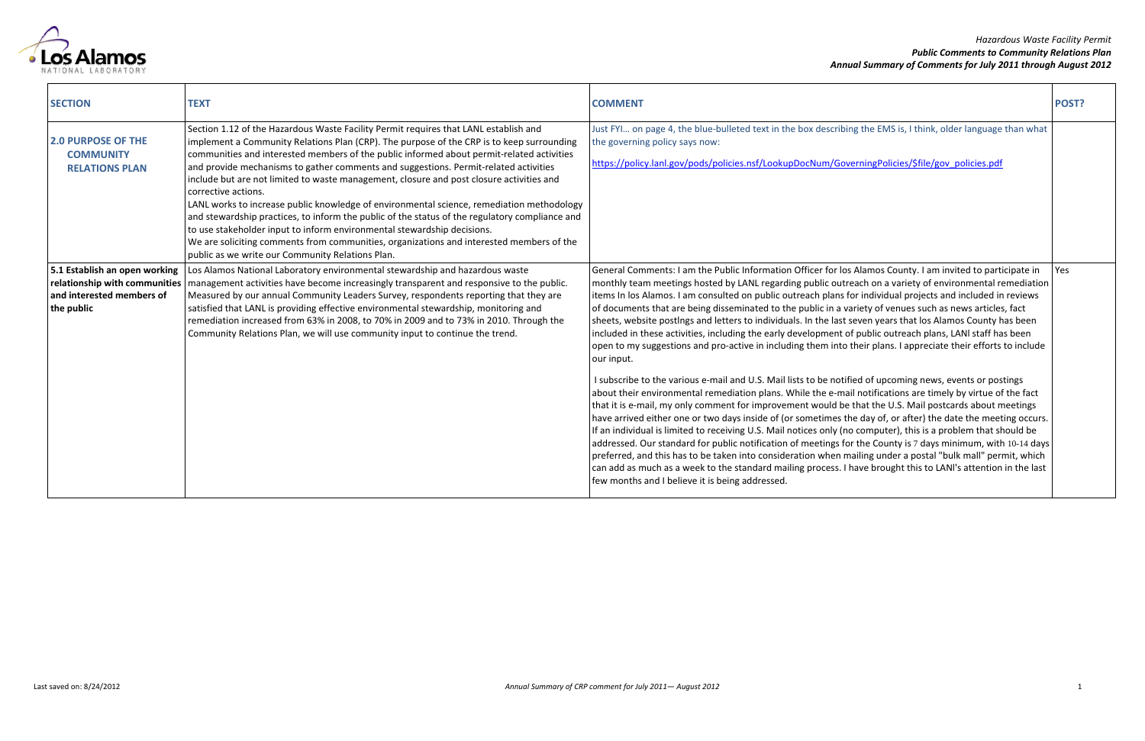## *Hazardous Waste Facility Permit Public Comments to Community Relations Plan Annual Summary of Comments for July 2011 through August 2012*



| <b>SECTION</b>                                                                                            | <b>TEXT</b>                                                                                                                                                                                                                                                                                                                                                                                                                                                                                                                                                                                                                                                                                                                                                                                                                                                                                                         | <b>COMMENT</b>                                                                                                                                                                                                                                                                                                                                                                                                                                                                                                                                                                                                                                                                                                                                                                                                                                                                                                                                                                  | POST? |
|-----------------------------------------------------------------------------------------------------------|---------------------------------------------------------------------------------------------------------------------------------------------------------------------------------------------------------------------------------------------------------------------------------------------------------------------------------------------------------------------------------------------------------------------------------------------------------------------------------------------------------------------------------------------------------------------------------------------------------------------------------------------------------------------------------------------------------------------------------------------------------------------------------------------------------------------------------------------------------------------------------------------------------------------|---------------------------------------------------------------------------------------------------------------------------------------------------------------------------------------------------------------------------------------------------------------------------------------------------------------------------------------------------------------------------------------------------------------------------------------------------------------------------------------------------------------------------------------------------------------------------------------------------------------------------------------------------------------------------------------------------------------------------------------------------------------------------------------------------------------------------------------------------------------------------------------------------------------------------------------------------------------------------------|-------|
| <b>2.0 PURPOSE OF THE</b><br><b>COMMUNITY</b><br><b>RELATIONS PLAN</b>                                    | Section 1.12 of the Hazardous Waste Facility Permit requires that LANL establish and<br>implement a Community Relations Plan (CRP). The purpose of the CRP is to keep surrounding<br>communities and interested members of the public informed about permit-related activities<br>and provide mechanisms to gather comments and suggestions. Permit-related activities<br>include but are not limited to waste management, closure and post closure activities and<br>corrective actions.<br>LANL works to increase public knowledge of environmental science, remediation methodology<br>and stewardship practices, to inform the public of the status of the regulatory compliance and<br>to use stakeholder input to inform environmental stewardship decisions.<br>We are soliciting comments from communities, organizations and interested members of the<br>public as we write our Community Relations Plan. | Just FYI on page 4, the blue-bulleted text in the box describing the EMS is, I think, older language than what<br>the governing policy says now:<br>https://policy.lanl.gov/pods/policies.nsf/LookupDocNum/GoverningPolicies/\$file/gov policies.pdf                                                                                                                                                                                                                                                                                                                                                                                                                                                                                                                                                                                                                                                                                                                            |       |
| 5.1 Establish an open working<br>relationship with communities<br>and interested members of<br>the public | Los Alamos National Laboratory environmental stewardship and hazardous waste<br>management activities have become increasingly transparent and responsive to the public.<br>Measured by our annual Community Leaders Survey, respondents reporting that they are<br>satisfied that LANL is providing effective environmental stewardship, monitoring and<br>remediation increased from 63% in 2008, to 70% in 2009 and to 73% in 2010. Through the<br>Community Relations Plan, we will use community input to continue the trend.                                                                                                                                                                                                                                                                                                                                                                                  | General Comments: I am the Public Information Officer for los Alamos County. I am invited to participate in<br>monthly team meetings hosted by LANL regarding public outreach on a variety of environmental remediation<br>items In los Alamos. I am consulted on public outreach plans for individual projects and included in reviews<br>of documents that are being disseminated to the public in a variety of venues such as news articles, fact<br>sheets, website postings and letters to individuals. In the last seven years that los Alamos County has been<br>included in these activities, including the early development of public outreach plans, LANI staff has been<br>open to my suggestions and pro-active in including them into their plans. I appreciate their efforts to include<br>our input.                                                                                                                                                            | Yes   |
|                                                                                                           |                                                                                                                                                                                                                                                                                                                                                                                                                                                                                                                                                                                                                                                                                                                                                                                                                                                                                                                     | I subscribe to the various e-mail and U.S. Mail lists to be notified of upcoming news, events or postings<br>about their environmental remediation plans. While the e-mail notifications are timely by virtue of the fact<br>that it is e-mail, my only comment for improvement would be that the U.S. Mail postcards about meetings<br>have arrived either one or two days inside of (or sometimes the day of, or after) the date the meeting occurs.<br>If an individual is limited to receiving U.S. Mail notices only (no computer), this is a problem that should be<br>addressed. Our standard for public notification of meetings for the County is 7 days minimum, with 10-14 days<br>preferred, and this has to be taken into consideration when mailing under a postal "bulk mall" permit, which<br>can add as much as a week to the standard mailing process. I have brought this to LANI's attention in the last<br>few months and I believe it is being addressed. |       |

| POST? |
|-------|
|       |
|       |
|       |
|       |
|       |
| Yes   |
|       |
|       |